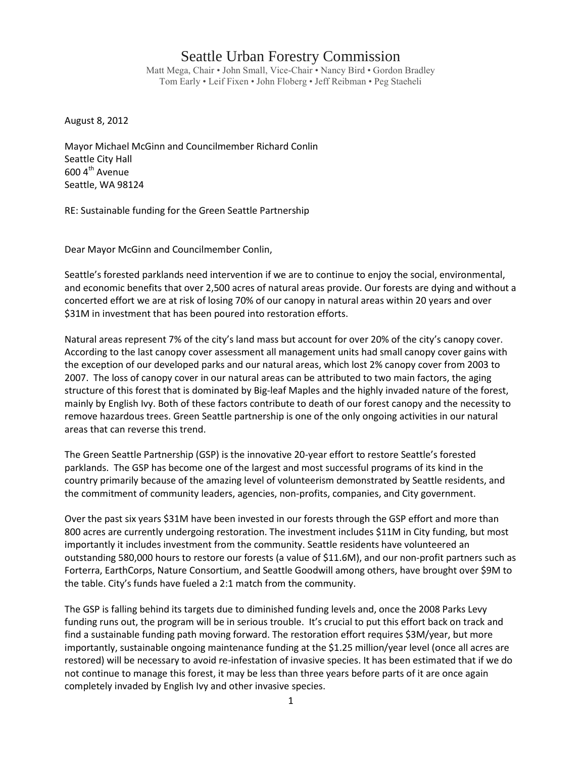## Seattle Urban Forestry Commission

Matt Mega, Chair • John Small, Vice-Chair • Nancy Bird • Gordon Bradley Tom Early • Leif Fixen • John Floberg • Jeff Reibman • Peg Staeheli

August 8, 2012

Mayor Michael McGinn and Councilmember Richard Conlin Seattle City Hall 600 4<sup>th</sup> Avenue Seattle, WA 98124

RE: Sustainable funding for the Green Seattle Partnership

Dear Mayor McGinn and Councilmember Conlin,

Seattle's forested parklands need intervention if we are to continue to enjoy the social, environmental, and economic benefits that over 2,500 acres of natural areas provide. Our forests are dying and without a concerted effort we are at risk of losing 70% of our canopy in natural areas within 20 years and over \$31M in investment that has been poured into restoration efforts.

Natural areas represent 7% of the city's land mass but account for over 20% of the city's canopy cover. According to the last canopy cover assessment all management units had small canopy cover gains with the exception of our developed parks and our natural areas, which lost 2% canopy cover from 2003 to 2007. The loss of canopy cover in our natural areas can be attributed to two main factors, the aging structure of this forest that is dominated by Big-leaf Maples and the highly invaded nature of the forest, mainly by English Ivy. Both of these factors contribute to death of our forest canopy and the necessity to remove hazardous trees. Green Seattle partnership is one of the only ongoing activities in our natural areas that can reverse this trend.

The Green Seattle Partnership (GSP) is the innovative 20-year effort to restore Seattle's forested parklands. The GSP has become one of the largest and most successful programs of its kind in the country primarily because of the amazing level of volunteerism demonstrated by Seattle residents, and the commitment of community leaders, agencies, non-profits, companies, and City government.

Over the past six years \$31M have been invested in our forests through the GSP effort and more than 800 acres are currently undergoing restoration. The investment includes \$11M in City funding, but most importantly it includes investment from the community. Seattle residents have volunteered an outstanding 580,000 hours to restore our forests (a value of \$11.6M), and our non-profit partners such as Forterra, EarthCorps, Nature Consortium, and Seattle Goodwill among others, have brought over \$9M to the table. City's funds have fueled a 2:1 match from the community.

The GSP is falling behind its targets due to diminished funding levels and, once the 2008 Parks Levy funding runs out, the program will be in serious trouble. It's crucial to put this effort back on track and find a sustainable funding path moving forward. The restoration effort requires \$3M/year, but more importantly, sustainable ongoing maintenance funding at the \$1.25 million/year level (once all acres are restored) will be necessary to avoid re-infestation of invasive species. It has been estimated that if we do not continue to manage this forest, it may be less than three years before parts of it are once again completely invaded by English Ivy and other invasive species.